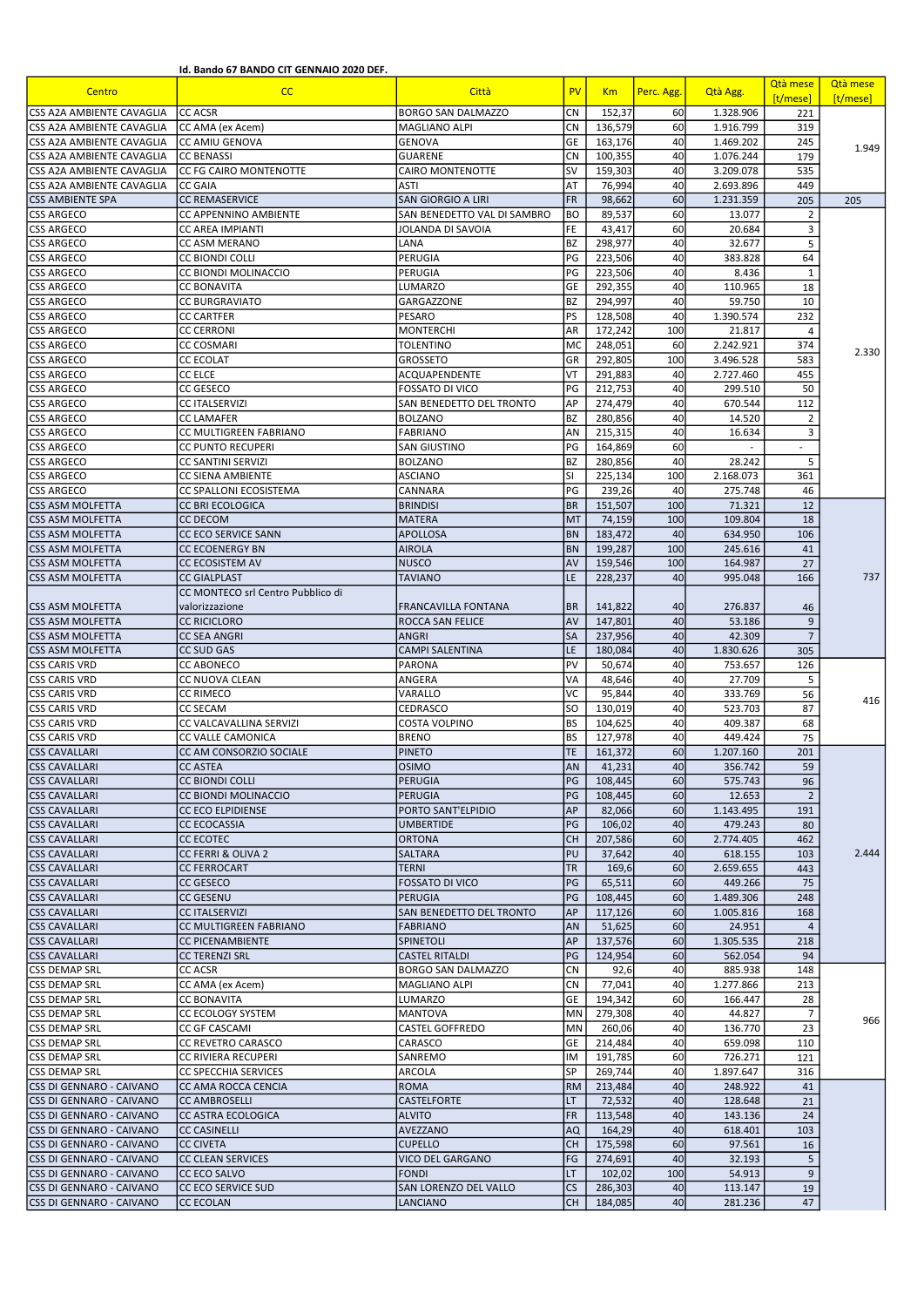Id. Bando 67 BANDO CIT GENNAIO 2020 DEF.

| Centro                                               | cc                                             | Città                               | <b>PV</b>              | Km                 | Perc. Agg. | Qtà Agg.           | Qtà mese<br>[t/mese] | Qtà mese<br>[t/mese] |
|------------------------------------------------------|------------------------------------------------|-------------------------------------|------------------------|--------------------|------------|--------------------|----------------------|----------------------|
| CSS A2A AMBIENTE CAVAGLIA                            | <b>CC ACSR</b>                                 | <b>BORGO SAN DALMAZZO</b>           | <b>CN</b>              | 152,37             | 60         | 1.328.906          | 221                  |                      |
| CSS A2A AMBIENTE CAVAGLIA                            | CC AMA (ex Acem)                               | <b>MAGLIANO ALPI</b>                | <b>CN</b>              | 136,579            | 60         | 1.916.799          | 319                  |                      |
| CSS A2A AMBIENTE CAVAGLIA                            | <b>CC AMIU GENOVA</b>                          | <b>GENOVA</b>                       | GE                     | 163,176            | 40         | 1.469.202          | 245                  | 1.949                |
| CSS A2A AMBIENTE CAVAGLIA                            | <b>CC BENASSI</b>                              | <b>GUARENE</b>                      | <b>CN</b>              | 100,355            | 40         | 1.076.244          | 179                  |                      |
| CSS A2A AMBIENTE CAVAGLIA                            | CC FG CAIRO MONTENOTTE                         | <b>CAIRO MONTENOTTE</b>             | <b>SV</b>              | 159,303            | 40         | 3.209.078          | 535                  |                      |
| CSS A2A AMBIENTE CAVAGLIA                            | <b>CC GAIA</b>                                 | ASTI                                | AT                     | 76,994             | 40         | 2.693.896          | 449                  |                      |
| <b>CSS AMBIENTE SPA</b>                              | <b>CC REMASERVICE</b>                          | <b>SAN GIORGIO A LIRI</b>           | <b>FR</b>              | 98,662             | 60         | 1.231.359          | 205                  | 205                  |
| <b>CSS ARGECO</b>                                    | CC APPENNINO AMBIENTE                          | SAN BENEDETTO VAL DI SAMBRO         | <b>BO</b>              | 89,537             | 60         | 13.077             | $\overline{2}$       |                      |
| <b>CSS ARGECO</b>                                    | <b>CC AREA IMPIANTI</b>                        | <b>JOLANDA DI SAVOIA</b>            | FE                     | 43,417             | 60         | 20.684             | 3                    |                      |
| <b>CSS ARGECO</b>                                    | CC ASM MERANO                                  | LANA                                | <b>BZ</b><br>PG        | 298,977            | 40         | 32.677             | 5<br>64              |                      |
| <b>CSS ARGECO</b><br><b>CSS ARGECO</b>               | <b>CC BIONDI COLLI</b><br>CC BIONDI MOLINACCIO | PERUGIA<br>PERUGIA                  | PG                     | 223,506            | 40<br>40   | 383.828<br>8.436   | $\mathbf{1}$         |                      |
| <b>CSS ARGECO</b>                                    | <b>CC BONAVITA</b>                             | LUMARZO                             | GE                     | 223,506<br>292,355 | 40         | 110.965            | 18                   |                      |
| <b>CSS ARGECO</b>                                    | <b>CC BURGRAVIATO</b>                          | GARGAZZONE                          | <b>BZ</b>              | 294,997            | 40         | 59.750             | 10                   |                      |
| <b>CSS ARGECO</b>                                    | <b>CC CARTFER</b>                              | PESARO                              | PS                     | 128,508            | 40         | 1.390.574          | 232                  |                      |
| <b>CSS ARGECO</b>                                    | <b>CC CERRONI</b>                              | <b>MONTERCHI</b>                    | <b>AR</b>              | 172,242            | 100        | 21.817             | 4                    |                      |
| <b>CSS ARGECO</b>                                    | <b>CC COSMARI</b>                              | <b>TOLENTINO</b>                    | MC                     | 248,051            | 60         | 2.242.921          | 374                  |                      |
| <b>CSS ARGECO</b>                                    | <b>CC ECOLAT</b>                               | <b>GROSSETO</b>                     | GR                     | 292,805            | 100        | 3.496.528          | 583                  | 2.330                |
| <b>CSS ARGECO</b>                                    | <b>CC ELCE</b>                                 | ACQUAPENDENTE                       | VT                     | 291,883            | 40         | 2.727.460          | 455                  |                      |
| <b>CSS ARGECO</b>                                    | <b>CC GESECO</b>                               | <b>FOSSATO DI VICO</b>              | PG                     | 212.753            | 40         | 299.510            | 50                   |                      |
| <b>CSS ARGECO</b>                                    | <b>CC ITALSERVIZI</b>                          | SAN BENEDETTO DEL TRONTO            | AP                     | 274,479            | 40         | 670.544            | 112                  |                      |
| <b>CSS ARGECO</b>                                    | <b>CC LAMAFER</b>                              | <b>BOLZANO</b>                      | <b>BZ</b>              | 280,856            | 40         | 14.520             | $\overline{2}$       |                      |
| <b>CSS ARGECO</b>                                    | CC MULTIGREEN FABRIANO                         | <b>FABRIANO</b>                     | AN                     | 215,315            | 40         | 16.634             | 3                    |                      |
| <b>CSS ARGECO</b>                                    | <b>CC PUNTO RECUPERI</b>                       | SAN GIUSTINO                        | PG                     | 164,869            | 60         |                    |                      |                      |
| <b>CSS ARGECO</b>                                    | <b>CC SANTINI SERVIZI</b>                      | <b>BOLZANO</b>                      | <b>BZ</b>              | 280,856            | 40         | 28.242             | 5                    |                      |
| CSS ARGECO                                           | <b>CC SIENA AMBIENTE</b>                       | <b>ASCIANO</b>                      | <b>SI</b>              | 225,134            | 100        | 2.168.073          | 361                  |                      |
| <b>CSS ARGECO</b>                                    | CC SPALLONI ECOSISTEMA                         | CANNARA                             | PG                     | 239,26             | 40         | 275.748            | 46                   |                      |
| <b>CSS ASM MOLFETTA</b>                              | CC BRI ECOLOGICA                               | <b>BRINDISI</b>                     | <b>BR</b>              | 151,507            | 100        | 71.321             | 12                   |                      |
| CSS ASM MOLFETTA                                     | <b>CC DECOM</b>                                | <b>MATERA</b>                       | MT                     | 74,159             | 100        | 109.804            | 18                   |                      |
| <b>CSS ASM MOLFETTA</b>                              | CC ECO SERVICE SANN                            | <b>APOLLOSA</b>                     | <b>BN</b>              | 183,472            | 40         | 634.950            | 106                  |                      |
| CSS ASM MOLFETTA                                     | <b>CC ECOENERGY BN</b>                         | <b>AIROLA</b>                       | <b>BN</b>              | 199,287            | 100        | 245.616            | 41                   |                      |
| <b>CSS ASM MOLFETTA</b>                              | CC ECOSISTEM AV                                | <b>NUSCO</b>                        | AV                     | 159,546            | 100        | 164.987            | 27                   |                      |
| <b>CSS ASM MOLFETTA</b>                              | <b>CC GIALPLAST</b>                            | <b>TAVIANO</b>                      | LE                     | 228,237            | 40         | 995.048            | 166                  | 737                  |
|                                                      | CC MONTECO srl Centro Pubblico di              |                                     |                        |                    |            |                    |                      |                      |
| <b>CSS ASM MOLFETTA</b>                              | valorizzazione                                 | FRANCAVILLA FONTANA                 | <b>BR</b>              | 141,822            | 40         | 276.837            | 46                   |                      |
| <b>CSS ASM MOLFETTA</b>                              | <b>CC RICICLORO</b>                            | <b>ROCCA SAN FELICE</b>             | AV                     | 147,801            | 40         | 53.186             | $\overline{9}$       |                      |
| <b>CSS ASM MOLFETTA</b>                              | <b>CC SEA ANGRI</b>                            | <b>ANGRI</b>                        | <b>SA</b>              | 237,956            | 40         | 42.309             | $\overline{7}$       |                      |
| CSS ASM MOLFETTA                                     | <b>CC SUD GAS</b>                              | <b>CAMPI SALENTINA</b>              | LE                     | 180,084            | 40         | 1.830.626          | 305                  |                      |
| <b>CSS CARIS VRD</b>                                 | <b>CC ABONECO</b>                              | <b>PARONA</b>                       | PV                     | 50,674             | 40         | 753.657            | 126                  |                      |
| <b>CSS CARIS VRD</b>                                 | CC NUOVA CLEAN                                 | ANGERA                              | VA<br>VC               | 48,646             | 40         | 27.709             | 5                    |                      |
| <b>CSS CARIS VRD</b>                                 | <b>CC RIMECO</b>                               | VARALLO                             | <b>SO</b>              | 95,844             | 40         | 333.769            | 56<br>87             | 416                  |
| <b>CSS CARIS VRD</b><br><b>CSS CARIS VRD</b>         | <b>CC SECAM</b><br>CC VALCAVALLINA SERVIZI     | CEDRASCO<br>COSTA VOLPINO           | <b>BS</b>              | 130,019<br>104,625 | 40<br>40   | 523.703<br>409.387 | 68                   |                      |
| <b>CSS CARIS VRD</b>                                 | CC VALLE CAMONICA                              | <b>BRENO</b>                        | <b>BS</b>              | 127,978            | 40         | 449.424            | 75                   |                      |
| <b>CSS CAVALLARI</b>                                 | CC AM CONSORZIO SOCIALE                        | <b>PINETO</b>                       | <b>TE</b>              | 161,372            | 60         | 1.207.160          | 201                  |                      |
| <b>CSS CAVALLARI</b>                                 | <b>CC ASTEA</b>                                | <b>OSIMO</b>                        | AN                     | 41,231             | 40         | 356.742            | 59                   |                      |
| <b>CSS CAVALLARI</b>                                 | <b>CC BIONDI COLLI</b>                         | PERUGIA                             | PG                     | 108,445            | 60         | 575.743            | 96                   |                      |
| <b>CSS CAVALLARI</b>                                 | CC BIONDI MOLINACCIO                           | <b>PERUGIA</b>                      | PG                     | 108,445            | 60         | 12.653             | $\overline{2}$       |                      |
| <b>CSS CAVALLARI</b>                                 | <b>CC ECO ELPIDIENSE</b>                       | PORTO SANT'ELPIDIO                  | AP                     | 82,066             | 60         | 1.143.495          | 191                  |                      |
| <b>CSS CAVALLARI</b>                                 | <b>CC ECOCASSIA</b>                            | <b>UMBERTIDE</b>                    | PG                     | 106,02             | 40         | 479.243            | 80                   |                      |
| <b>CSS CAVALLARI</b>                                 | CC ECOTEC                                      | <b>ORTONA</b>                       | <b>CH</b>              | 207,586            | 60         | 2.774.405          | 462                  |                      |
| <b>CSS CAVALLARI</b>                                 | CC FERRI & OLIVA 2                             | SALTARA                             | PU                     | 37,642             | 40         | 618.155            | 103                  | 2.444                |
| <b>CSS CAVALLARI</b>                                 | <b>CC FERROCART</b>                            | <b>TERNI</b>                        | <b>TR</b>              | 169,6              | 60         | 2.659.655          | 443                  |                      |
| <b>CSS CAVALLARI</b>                                 | CC GESECO                                      | <b>FOSSATO DI VICO</b>              | PG                     | 65,511             | 60         | 449.266            | 75                   |                      |
| <b>CSS CAVALLARI</b>                                 | <b>CC GESENU</b>                               | PERUGIA                             | PG                     | 108,445            | 60         | 1.489.306          | 248                  |                      |
| <b>CSS CAVALLARI</b>                                 | <b>CC ITALSERVIZI</b>                          | SAN BENEDETTO DEL TRONTO            | <b>AP</b>              | 117,126            | 60         | 1.005.816          | 168                  |                      |
| <b>CSS CAVALLARI</b>                                 | CC MULTIGREEN FABRIANO                         | <b>FABRIANO</b>                     | AN                     | 51,625             | 60         | 24.951             | $\overline{4}$       |                      |
| <b>CSS CAVALLARI</b>                                 | <b>CC PICENAMBIENTE</b>                        | <b>SPINETOLI</b>                    | AP                     | 137,576            | 60         | 1.305.535          | 218                  |                      |
| <b>CSS CAVALLARI</b>                                 | <b>CC TERENZI SRL</b>                          | <b>CASTEL RITALDI</b>               | PG                     | 124,954            | 60         | 562.054            | 94                   |                      |
| <b>CSS DEMAP SRL</b>                                 | <b>CC ACSR</b>                                 | <b>BORGO SAN DALMAZZO</b>           | <b>CN</b>              | 92,6               | 40         | 885.938            | 148                  |                      |
| <b>CSS DEMAP SRL</b>                                 | CC AMA (ex Acem)                               | MAGLIANO ALPI                       | <b>CN</b>              | 77,041             | 40         | 1.277.866          | 213                  |                      |
| <b>CSS DEMAP SRL</b>                                 | <b>CC BONAVITA</b>                             | LUMARZO                             | GE                     | 194,342            | 60         | 166.447            | 28                   |                      |
| <b>CSS DEMAP SRL</b>                                 | CC ECOLOGY SYSTEM                              | <b>MANTOVA</b>                      | <b>MN</b>              | 279,308            | 40         | 44.827             | $\overline{7}$       | 966                  |
| <b>CSS DEMAP SRL</b>                                 | CC GF CASCAMI                                  | CASTEL GOFFREDO                     | <b>MN</b>              | 260,06             | 40         | 136.770            | 23                   |                      |
| CSS DEMAP SRL                                        | CC REVETRO CARASCO                             | CARASCO                             | GE                     | 214,484            | 40         | 659.098            | 110                  |                      |
| CSS DEMAP SRL                                        | CC RIVIERA RECUPERI                            | SANREMO                             | IM                     | 191,785            | 60         | 726.271            | 121                  |                      |
| CSS DEMAP SRL                                        | CC SPECCHIA SERVICES                           | ARCOLA                              | <b>SP</b>              | 269,744            | 40         | 1.897.647          | 316                  |                      |
| CSS DI GENNARO - CAIVANO                             | CC AMA ROCCA CENCIA                            | <b>ROMA</b>                         | <b>RM</b>              | 213,484            | 40         | 248.922            | 41                   |                      |
| CSS DI GENNARO - CAIVANO<br>CSS DI GENNARO - CAIVANO | <b>CC AMBROSELLI</b>                           | <b>CASTELFORTE</b><br><b>ALVITO</b> | <b>LT</b><br><b>FR</b> | 72,532<br>113,548  | 40<br>40   | 128.648<br>143.136 | 21<br>24             |                      |
| CSS DI GENNARO - CAIVANO                             | CC ASTRA ECOLOGICA<br>CC CASINELLI             | AVEZZANO                            | <b>AQ</b>              | 164,29             | 40         | 618.401            | 103                  |                      |
| CSS DI GENNARO - CAIVANO                             | <b>CC CIVETA</b>                               | <b>CUPELLO</b>                      | <b>CH</b>              | 175,598            | 60         | 97.561             | 16                   |                      |
| CSS DI GENNARO - CAIVANO                             | CC CLEAN SERVICES                              | VICO DEL GARGANO                    | FG                     | 274,691            | 40         | 32.193             | 5                    |                      |
| CSS DI GENNARO - CAIVANO                             | CC ECO SALVO                                   | <b>FONDI</b>                        | LT                     | 102,02             | 100        | 54.913             | 9                    |                      |
| CSS DI GENNARO - CAIVANO                             | CC ECO SERVICE SUD                             | SAN LORENZO DEL VALLO               | <b>CS</b>              | 286,303            | 40         | 113.147            | 19                   |                      |
| CSS DI GENNARO - CAIVANO                             | <b>CC ECOLAN</b>                               | LANCIANO                            | <b>CH</b>              | 184,085            | 40         | 281.236            | 47                   |                      |
|                                                      |                                                |                                     |                        |                    |            |                    |                      |                      |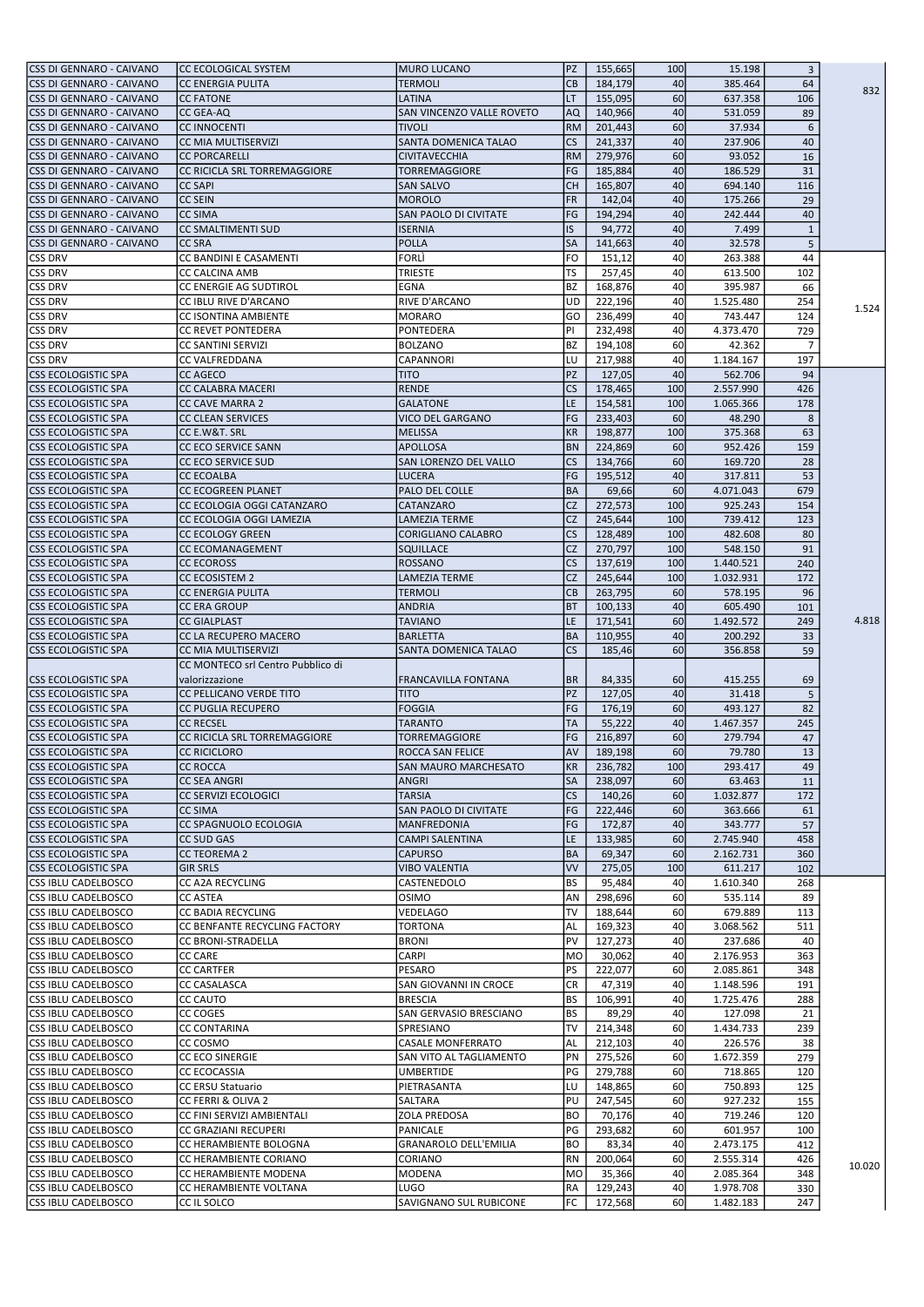| CSS DI GENNARO - CAIVANO                                 | CC ECOLOGICAL SYSTEM                  | MURO LUCANO                         | <b>PZ</b>       | 155,665            | 100       | 15.198                 | 3              |        |
|----------------------------------------------------------|---------------------------------------|-------------------------------------|-----------------|--------------------|-----------|------------------------|----------------|--------|
| CSS DI GENNARO - CAIVANO                                 | <b>CC ENERGIA PULITA</b>              | <b>TERMOLI</b>                      | <b>CB</b>       | 184,179            | 40        | 385.464                | 64             |        |
| CSS DI GENNARO - CAIVANO                                 | <b>CC FATONE</b>                      | LATINA                              | LT              | 155,095            | 60        | 637.358                | 106            | 832    |
|                                                          |                                       | SAN VINCENZO VALLE ROVETO           |                 |                    |           |                        |                |        |
| CSS DI GENNARO - CAIVANO                                 | <b>CC GEA-AQ</b>                      |                                     | AQ              | 140,966            | 40        | 531.059                | 89             |        |
| CSS DI GENNARO - CAIVANO                                 | <b>CC INNOCENTI</b>                   | <b>TIVOLI</b>                       | <b>RM</b>       | 201,443            | 60        | 37.934                 | 6              |        |
| CSS DI GENNARO - CAIVANO                                 | CC MIA MULTISERVIZI                   | SANTA DOMENICA TALAO                | <b>CS</b>       | 241,337            | 40        | 237.906                | 40             |        |
| CSS DI GENNARO - CAIVANO                                 | <b>CC PORCARELLI</b>                  | <b>CIVITAVECCHIA</b>                | <b>RM</b>       | 279,976            | 60        | 93.052                 | 16             |        |
| CSS DI GENNARO - CAIVANO                                 | CC RICICLA SRL TORREMAGGIORE          | <b>TORREMAGGIORE</b>                | FG              | 185,884            | 40        | 186.529                | 31             |        |
| CSS DI GENNARO - CAIVANO                                 | <b>CC SAPI</b>                        | <b>SAN SALVO</b>                    | <b>CH</b>       | 165,807            | 40        | 694.140                | 116            |        |
| CSS DI GENNARO - CAIVANO                                 | <b>CC SEIN</b>                        | <b>MOROLO</b>                       | <b>FR</b>       | 142,04             | 40        | 175.266                | 29             |        |
| CSS DI GENNARO - CAIVANO                                 | <b>CC SIMA</b>                        | <b>SAN PAOLO DI CIVITATE</b>        | FG              | 194,294            | 40        | 242.444                | 40             |        |
|                                                          |                                       |                                     |                 |                    |           |                        |                |        |
| CSS DI GENNARO - CAIVANO                                 | <b>CC SMALTIMENTI SUD</b>             | <b>ISERNIA</b>                      | <b>IS</b>       | 94,772             | 40        | 7.499                  | $\mathbf{1}$   |        |
| CSS DI GENNARO - CAIVANO                                 | <b>CC SRA</b>                         | <b>POLLA</b>                        | <b>SA</b>       | 141,663            | 40        | 32.578                 | 5              |        |
| <b>CSS DRV</b>                                           | CC BANDINI E CASAMENTI                | FORLÌ                               | <b>FO</b>       | 151,12             | 40        | 263.388                | 44             |        |
| <b>CSS DRV</b>                                           | <b>CC CALCINA AMB</b>                 | <b>TRIESTE</b>                      | TS              | 257,45             | 40        | 613.500                | 102            |        |
| <b>CSS DRV</b>                                           | CC ENERGIE AG SUDTIROL                | EGNA                                | <b>BZ</b>       | 168.876            | 40        | 395.987                | 66             |        |
| <b>CSS DRV</b>                                           | CC IBLU RIVE D'ARCANO                 | <b>RIVE D'ARCANO</b>                | <b>UD</b>       | 222,196            | 40        | 1.525.480              | 254            |        |
| <b>CSS DRV</b>                                           | CC ISONTINA AMBIENTE                  | MORARO                              | GO              | 236,499            | 40        | 743.447                | 124            | 1.524  |
| <b>CSS DRV</b>                                           | <b>CC REVET PONTEDERA</b>             | PONTEDERA                           | PI              | 232,498            | 40        | 4.373.470              | 729            |        |
|                                                          |                                       |                                     |                 |                    |           |                        |                |        |
| CSS DRV                                                  | <b>CC SANTINI SERVIZI</b>             | <b>BOLZANO</b>                      | <b>BZ</b>       | 194,108            | 60        | 42.362                 | $\overline{7}$ |        |
| <b>CSS DRV</b>                                           | CC VALFREDDANA                        | CAPANNORI                           | LU              | 217,988            | 40        | 1.184.167              | 197            |        |
| <b>CSS ECOLOGISTIC SPA</b>                               | <b>CC AGECO</b>                       | <b>TITO</b>                         | PZ              | 127,05             | 40        | 562.706                | 94             |        |
| <b>CSS ECOLOGISTIC SPA</b>                               | CC CALABRA MACERI                     | <b>RENDE</b>                        | <b>CS</b>       | 178,465            | 100       | 2.557.990              | 426            |        |
| <b>CSS ECOLOGISTIC SPA</b>                               | <b>CC CAVE MARRA 2</b>                | <b>GALATONE</b>                     | LE              | 154,581            | 100       | 1.065.366              | 178            |        |
| <b>CSS ECOLOGISTIC SPA</b>                               | <b>CC CLEAN SERVICES</b>              | VICO DEL GARGANO                    | FG              | 233,403            | <b>60</b> | 48.290                 | 8              |        |
| <b>CSS ECOLOGISTIC SPA</b>                               | CC E.W&T. SRL                         | <b>MELISSA</b>                      | <b>KR</b>       | 198,877            | 100       | 375.368                | 63             |        |
|                                                          |                                       | <b>APOLLOSA</b>                     | <b>BN</b>       |                    |           |                        |                |        |
| <b>CSS ECOLOGISTIC SPA</b>                               | CC ECO SERVICE SANN                   |                                     |                 | 224,869            | 60        | 952.426                | 159            |        |
| <b>CSS ECOLOGISTIC SPA</b>                               | <b>CC ECO SERVICE SUD</b>             | SAN LORENZO DEL VALLO               | <b>CS</b>       | 134,766            | 60        | 169.720                | 28             |        |
| <b>CSS ECOLOGISTIC SPA</b>                               | <b>CC ECOALBA</b>                     | <b>LUCERA</b>                       | FG              | 195,512            | 40        | 317.811                | 53             |        |
| <b>CSS ECOLOGISTIC SPA</b>                               | CC ECOGREEN PLANET                    | PALO DEL COLLE                      | <b>BA</b>       | 69,66              | 60        | 4.071.043              | 679            |        |
| <b>CSS ECOLOGISTIC SPA</b>                               | CC ECOLOGIA OGGI CATANZARO            | CATANZARO                           | <b>CZ</b>       | 272,573            | 100       | 925.243                | 154            |        |
| <b>CSS ECOLOGISTIC SPA</b>                               | CC ECOLOGIA OGGI LAMEZIA              | <b>LAMEZIA TERME</b>                | <b>CZ</b>       | 245,644            | 100       | 739.412                | 123            |        |
| <b>CSS ECOLOGISTIC SPA</b>                               | <b>CC ECOLOGY GREEN</b>               | CORIGLIANO CALABRO                  | <b>CS</b>       | 128,489            | 100       | 482.608                | 80             |        |
| <b>CSS ECOLOGISTIC SPA</b>                               | <b>CC ECOMANAGEMENT</b>               | SQUILLACE                           | <b>CZ</b>       | 270,797            | 100       | 548.150                | 91             |        |
|                                                          |                                       |                                     | <b>CS</b>       |                    |           |                        |                |        |
| <b>CSS ECOLOGISTIC SPA</b>                               | <b>CC ECOROSS</b>                     | <b>ROSSANO</b>                      |                 | 137,619            | 100       | 1.440.521              | 240            |        |
| <b>CSS ECOLOGISTIC SPA</b>                               | <b>CC ECOSISTEM 2</b>                 | <b>LAMEZIA TERME</b>                | <b>CZ</b>       | 245,644            | 100       | 1.032.931              | 172            |        |
| <b>CSS ECOLOGISTIC SPA</b>                               | <b>CC ENERGIA PULITA</b>              | <b>TERMOLI</b>                      | <b>CB</b>       | 263,795            | 60        | 578.195                | 96             |        |
| <b>CSS ECOLOGISTIC SPA</b>                               | <b>CC ERA GROUP</b>                   | <b>ANDRIA</b>                       | <b>BT</b>       | 100,133            | 40        | 605.490                | 101            |        |
| <b>CSS ECOLOGISTIC SPA</b>                               | <b>CC GIALPLAST</b>                   | <b>TAVIANO</b>                      | ILE.            | 171,541            | 60        | 1.492.572              | 249            | 4.818  |
| <b>CSS ECOLOGISTIC SPA</b>                               | CC LA RECUPERO MACERO                 | <b>BARLETTA</b>                     | <b>BA</b>       | 110,955            | 40        | 200.292                | 33             |        |
| <b>CSS ECOLOGISTIC SPA</b>                               | CC MIA MULTISERVIZI                   | SANTA DOMENICA TALAO                | <b>CS</b>       | 185,46             | 60        | 356.858                | 59             |        |
|                                                          |                                       |                                     |                 |                    |           |                        |                |        |
|                                                          |                                       |                                     |                 |                    |           |                        |                |        |
|                                                          | CC MONTECO srl Centro Pubblico di     |                                     |                 |                    |           |                        |                |        |
| <b>CSS ECOLOGISTIC SPA</b>                               | valorizzazione                        | FRANCAVILLA FONTANA                 | IBR.            | 84,335             | 60        | 415.255                | 69             |        |
| lCSS ECOLOGISTIC SPA                                     | CC PELLICANO VERDE TITO               | <b>TITO</b>                         | PZ              | 127,05             | 40        | 31.418                 | 5              |        |
| <b>CSS ECOLOGISTIC SPA</b>                               | <b>CC PUGLIA RECUPERO</b>             | <b>FOGGIA</b>                       | FG              | 176,19             | 60        | 493.127                | 82             |        |
| <b>CSS ECOLOGISTIC SPA</b>                               | <b>CC RECSEL</b>                      | <b>TARANTO</b>                      | <b>TA</b>       | 55,222             | 40        | 1.467.357              | 245            |        |
| <b>CSS ECOLOGISTIC SPA</b>                               | CC RICICLA SRL TORREMAGGIORE          | TORREMAGGIORE                       | FG              | 216,897            | 60        | 279.794                | 47             |        |
| <b>CSS ECOLOGISTIC SPA</b>                               | <b>CC RICICLORO</b>                   | <b>ROCCA SAN FELICE</b>             | <b>AV</b>       | 189,198            | 60        | 79.780                 | 13             |        |
|                                                          |                                       |                                     |                 |                    |           |                        |                |        |
| CSS ECOLOGISTIC SPA                                      | <b>CC ROCCA</b>                       | SAN MAURO MARCHESATO                | KR              | 236,782            | 100       | 293.417                | 49             |        |
| <b>CSS ECOLOGISTIC SPA</b>                               | <b>CC SEA ANGRI</b>                   | <b>ANGRI</b>                        | <b>SA</b>       | 238,097            | 60        | 63.463                 | 11             |        |
| <b>CSS ECOLOGISTIC SPA</b>                               | CC SERVIZI ECOLOGICI                  | <b>TARSIA</b>                       | <b>CS</b>       | 140,26             | 60        | 1.032.877              | 172            |        |
| <b>CSS ECOLOGISTIC SPA</b>                               | <b>CC SIMA</b>                        | <b>SAN PAOLO DI CIVITATE</b>        | FG              | 222,446            | 60        | 363.666                | 61             |        |
| <b>CSS ECOLOGISTIC SPA</b>                               | CC SPAGNUOLO ECOLOGIA                 | MANFREDONIA                         | FG              | 172,87             | 40        | 343.777                | 57             |        |
| <b>CSS ECOLOGISTIC SPA</b>                               | <b>CC SUD GAS</b>                     | <b>CAMPI SALENTINA</b>              | LE              | 133,985            | 60        | 2.745.940              | 458            |        |
| <b>CSS ECOLOGISTIC SPA</b>                               | <b>CC TEOREMA 2</b>                   | <b>CAPURSO</b>                      | BA              | 69,347             | 60        | 2.162.731              | 360            |        |
| <b>CSS ECOLOGISTIC SPA</b>                               | <b>GIR SRLS</b>                       | <b>VIBO VALENTIA</b>                | <b>VV</b>       | 275,05             | 100       | 611.217                | 102            |        |
| CSS IBLU CADELBOSCO                                      | CC A2A RECYCLING                      | CASTENEDOLO                         | <b>BS</b>       | 95,484             | 40        | 1.610.340              | 268            |        |
| CSS IBLU CADELBOSCO                                      | <b>CC ASTEA</b>                       | <b>OSIMO</b>                        | AN              | 298,696            | 60        | 535.114                | 89             |        |
|                                                          |                                       |                                     | <b>TV</b>       |                    |           |                        |                |        |
| <b>CSS IBLU CADELBOSCO</b>                               | CC BADIA RECYCLING                    | VEDELAGO                            |                 | 188,644            | 60        | 679.889                | 113            |        |
| <b>CSS IBLU CADELBOSCO</b>                               | CC BENFANTE RECYCLING FACTORY         | <b>TORTONA</b>                      | <b>AL</b>       | 169,323            | 40        | 3.068.562              | 511            |        |
| <b>CSS IBLU CADELBOSCO</b>                               | <b>CC BRONI-STRADELLA</b>             | <b>BRONI</b>                        | PV              | 127,273            | 40        | 237.686                | 40             |        |
| CSS IBLU CADELBOSCO                                      | <b>CC CARE</b>                        | CARPI                               | <b>MO</b>       | 30,062             | 40        | 2.176.953              | 363            |        |
| CSS IBLU CADELBOSCO                                      | <b>CC CARTFER</b>                     | PESARO                              | PS              | 222,077            | 60        | 2.085.861              | 348            |        |
| CSS IBLU CADELBOSCO                                      | CC CASALASCA                          | SAN GIOVANNI IN CROCE               | <b>CR</b>       | 47,319             | 40        | 1.148.596              | 191            |        |
| <b>CSS IBLU CADELBOSCO</b>                               | <b>CC CAUTO</b>                       | <b>BRESCIA</b>                      | <b>BS</b>       | 106,991            | 40        | 1.725.476              | 288            |        |
|                                                          | CC COGES                              |                                     | <b>BS</b>       |                    | 40        |                        | 21             |        |
| CSS IBLU CADELBOSCO                                      |                                       | SAN GERVASIO BRESCIANO<br>SPRESIANO | <b>TV</b>       | 89,29              | 60        | 127.098                |                |        |
| CSS IBLU CADELBOSCO                                      | <b>CC CONTARINA</b>                   |                                     |                 | 214,348            |           | 1.434.733              | 239            |        |
| <b>CSS IBLU CADELBOSCO</b>                               | CC COSMO                              | <b>CASALE MONFERRATO</b>            | <b>AL</b>       | 212,103            | 40        | 226.576                | 38             |        |
| <b>CSS IBLU CADELBOSCO</b>                               | CC ECO SINERGIE                       | SAN VITO AL TAGLIAMENTO             | PN              | 275,526            | 60        | 1.672.359              | 279            |        |
| <b>CSS IBLU CADELBOSCO</b>                               | <b>CC ECOCASSIA</b>                   | <b>UMBERTIDE</b>                    | PG              | 279,788            | 60        | 718.865                | 120            |        |
| CSS IBLU CADELBOSCO                                      | CC ERSU Statuario                     | PIETRASANTA                         | LU              | 148,865            | 60        | 750.893                | 125            |        |
| <b>CSS IBLU CADELBOSCO</b>                               | CC FERRI & OLIVA 2                    | SALTARA                             | PU              | 247,545            | 60        | 927.232                | 155            |        |
| CSS IBLU CADELBOSCO                                      | CC FINI SERVIZI AMBIENTALI            | ZOLA PREDOSA                        | <b>BO</b>       | 70,176             | 40        | 719.246                | 120            |        |
| <b>CSS IBLU CADELBOSCO</b>                               | CC GRAZIANI RECUPERI                  | PANICALE                            | PG              | 293,682            | 60        | 601.957                | 100            |        |
| <b>CSS IBLU CADELBOSCO</b>                               | CC HERAMBIENTE BOLOGNA                |                                     | <b>BO</b>       | 83,34              | 40        | 2.473.175              | 412            |        |
|                                                          |                                       | <b>GRANAROLO DELL'EMILIA</b>        |                 |                    |           |                        |                |        |
| CSS IBLU CADELBOSCO                                      | CC HERAMBIENTE CORIANO                | CORIANO                             | <b>RN</b>       | 200,064            | 60        | 2.555.314              | 426            | 10.020 |
| <b>CSS IBLU CADELBOSCO</b>                               | CC HERAMBIENTE MODENA                 | MODENA                              | <b>MO</b>       | 35,366             | 40        | 2.085.364              | 348            |        |
| <b>CSS IBLU CADELBOSCO</b><br><b>CSS IBLU CADELBOSCO</b> | CC HERAMBIENTE VOLTANA<br>CC IL SOLCO | LUGO<br>SAVIGNANO SUL RUBICONE      | <b>RA</b><br>FC | 129,243<br>172,568 | 40<br>60  | 1.978.708<br>1.482.183 | 330<br>247     |        |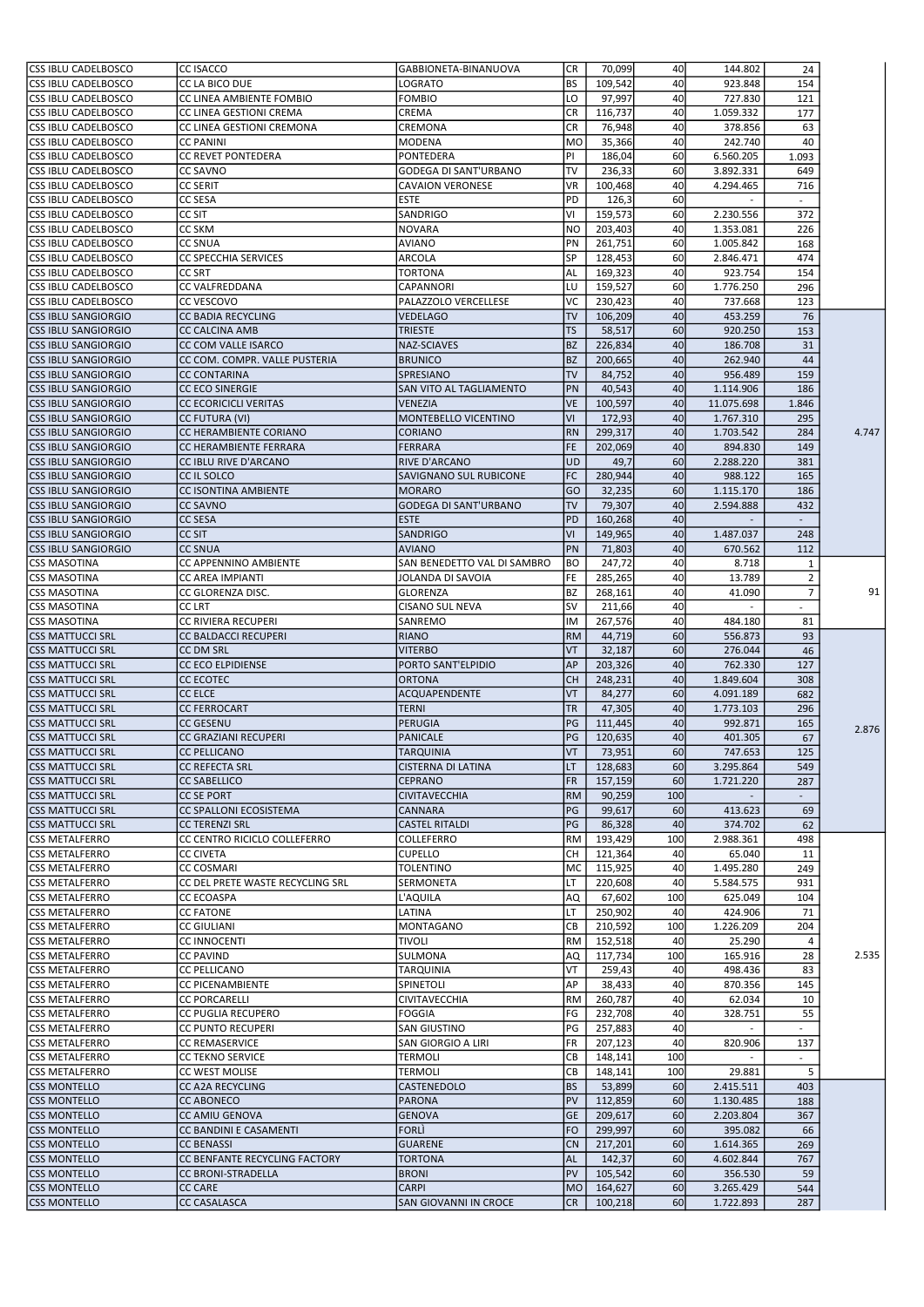| <b>CSS IBLU CADELBOSCO</b>                        | CC ISACCO                                             | GABBIONETA-BINANUOVA                             | <b>CR</b>            | 70,099             | 40        | 144.802                | 24                               |       |
|---------------------------------------------------|-------------------------------------------------------|--------------------------------------------------|----------------------|--------------------|-----------|------------------------|----------------------------------|-------|
| <b>CSS IBLU CADELBOSCO</b>                        | CC LA BICO DUE                                        | LOGRATO                                          | <b>BS</b>            | 109,542            | 40        | 923.848                | 154                              |       |
| CSS IBLU CADELBOSCO                               | CC LINEA AMBIENTE FOMBIO                              | <b>FOMBIO</b>                                    | LO                   | 97,997             | 40        | 727.830                | 121                              |       |
| CSS IBLU CADELBOSCO                               | CC LINEA GESTIONI CREMA                               | CREMA                                            | CR                   | 116,737            | 40        | 1.059.332              | 177                              |       |
| CSS IBLU CADELBOSCO                               | CC LINEA GESTIONI CREMONA                             | CREMONA                                          | CR                   | 76,948             | 40        | 378.856                | 63                               |       |
| <b>CSS IBLU CADELBOSCO</b>                        | <b>CC PANINI</b>                                      | <b>MODENA</b>                                    | <b>MO</b>            | 35,366             | 40        | 242.740                | 40                               |       |
| <b>CSS IBLU CADELBOSCO</b>                        | <b>CC REVET PONTEDERA</b>                             | PONTEDERA                                        | PI                   | 186,04             | 60        | 6.560.205              | 1.093                            |       |
| <b>CSS IBLU CADELBOSCO</b>                        | <b>CC SAVNO</b>                                       | GODEGA DI SANT'URBANO                            | <b>TV</b>            | 236,33             | 60        | 3.892.331              | 649                              |       |
| CSS IBLU CADELBOSCO                               | <b>CC SERIT</b>                                       | <b>CAVAION VERONESE</b>                          | <b>VR</b>            | 100,468            | 40        | 4.294.465              | 716                              |       |
| CSS IBLU CADELBOSCO                               | <b>CC SESA</b>                                        | <b>ESTE</b>                                      | PD                   | 126,3              | 60        |                        |                                  |       |
| <b>CSS IBLU CADELBOSCO</b><br>CSS IBLU CADELBOSCO | CC SIT<br><b>CC SKM</b>                               | SANDRIGO                                         | VI<br>N <sub>O</sub> | 159,573            | 60<br>40  | 2.230.556<br>1.353.081 | 372<br>226                       |       |
| CSS IBLU CADELBOSCO                               | <b>CC SNUA</b>                                        | <b>NOVARA</b><br><b>AVIANO</b>                   | PN                   | 203,403<br>261,751 | 60        | 1.005.842              | 168                              |       |
| CSS IBLU CADELBOSCO                               | <b>CC SPECCHIA SERVICES</b>                           | ARCOLA                                           | <b>SP</b>            | 128,453            | 60        | 2.846.471              | 474                              |       |
| <b>CSS IBLU CADELBOSCO</b>                        | <b>CC SRT</b>                                         | <b>TORTONA</b>                                   | AL                   | 169,323            | 40        | 923.754                | 154                              |       |
| <b>CSS IBLU CADELBOSCO</b>                        | CC VALFREDDANA                                        | <b>CAPANNORI</b>                                 | LU                   | 159,527            | 60        | 1.776.250              | 296                              |       |
| <b>CSS IBLU CADELBOSCO</b>                        | CC VESCOVO                                            | PALAZZOLO VERCELLESE                             | <b>VC</b>            | 230,423            | 40        | 737.668                | 123                              |       |
| <b>CSS IBLU SANGIORGIO</b>                        | <b>CC BADIA RECYCLING</b>                             | <b>VEDELAGO</b>                                  | <b>TV</b>            | 106,209            | 40        | 453.259                | 76                               |       |
| <b>CSS IBLU SANGIORGIO</b>                        | <b>CC CALCINA AMB</b>                                 | <b>TRIESTE</b>                                   | <b>TS</b>            | 58,517             | 60        | 920.250                | 153                              |       |
| <b>CSS IBLU SANGIORGIO</b>                        | CC COM VALLE ISARCO                                   | NAZ-SCIAVES                                      | <b>BZ</b>            | 226,834            | 40        | 186.708                | 31                               |       |
| <b>CSS IBLU SANGIORGIO</b>                        | CC COM. COMPR. VALLE PUSTERIA                         | <b>BRUNICO</b>                                   | <b>BZ</b>            | 200,665            | 40        | 262.940                | 44                               |       |
| <b>CSS IBLU SANGIORGIO</b>                        | <b>CC CONTARINA</b>                                   | SPRESIANO                                        | <b>TV</b>            | 84,752             | 40        | 956.489                | 159                              |       |
| <b>CSS IBLU SANGIORGIO</b>                        | <b>CC ECO SINERGIE</b>                                | SAN VITO AL TAGLIAMENTO                          | PN                   | 40,543             | 40        | 1.114.906              | 186                              |       |
| <b>CSS IBLU SANGIORGIO</b>                        | <b>CC ECORICICLI VERITAS</b>                          | VENEZIA                                          | VE                   | 100,597            | 40        | 11.075.698             | 1.846                            |       |
| <b>CSS IBLU SANGIORGIO</b>                        | <b>CC FUTURA (VI)</b>                                 | MONTEBELLO VICENTINO                             | <b>VI</b>            | 172,93             | 40        | 1.767.310              | 295                              |       |
| <b>CSS IBLU SANGIORGIO</b>                        | CC HERAMBIENTE CORIANO                                | <b>CORIANO</b>                                   | <b>RN</b>            | 299,317            | 40        | 1.703.542              | 284                              | 4.747 |
| <b>CSS IBLU SANGIORGIO</b>                        | CC HERAMBIENTE FERRARA                                | <b>FERRARA</b>                                   | <b>FE</b>            | 202,069            | 40        | 894.830                | 149                              |       |
| <b>CSS IBLU SANGIORGIO</b>                        | CC IBLU RIVE D'ARCANO                                 | <b>RIVE D'ARCANO</b>                             | <b>UD</b>            | 49,7               | 60        | 2.288.220              | 381                              |       |
| <b>CSS IBLU SANGIORGIO</b>                        | CC IL SOLCO                                           | SAVIGNANO SUL RUBICONE                           | FC                   | 280,944            | 40        | 988.122                | 165                              |       |
| <b>CSS IBLU SANGIORGIO</b>                        | <b>CC ISONTINA AMBIENTE</b>                           | <b>MORARO</b>                                    | GO                   | 32,235             | 60        | 1.115.170              | 186                              |       |
| <b>CSS IBLU SANGIORGIO</b>                        | <b>CC SAVNO</b>                                       | <b>GODEGA DI SANT'URBANO</b>                     | <b>TV</b>            | 79,307             | 40        | 2.594.888              | 432                              |       |
| <b>CSS IBLU SANGIORGIO</b>                        | <b>CC SESA</b>                                        | <b>ESTE</b>                                      | PD                   | 160,268            | 40        |                        |                                  |       |
| <b>CSS IBLU SANGIORGIO</b>                        | <b>CC SIT</b>                                         | <b>SANDRIGO</b>                                  | <b>VI</b>            | 149,965            | 40        | 1.487.037              | 248                              |       |
| <b>CSS IBLU SANGIORGIO</b>                        | <b>CC SNUA</b>                                        | <b>AVIANO</b>                                    | PN<br><b>BO</b>      | 71,803             | 40        | 670.562                | 112                              |       |
| <b>CSS MASOTINA</b><br><b>CSS MASOTINA</b>        | CC APPENNINO AMBIENTE<br>CC AREA IMPIANTI             | SAN BENEDETTO VAL DI SAMBRO<br>JOLANDA DI SAVOIA | FE                   | 247,72<br>285,265  | 40<br>40  | 8.718<br>13.789        | $\mathbf{1}$                     |       |
| <b>CSS MASOTINA</b>                               | CC GLORENZA DISC.                                     | <b>GLORENZA</b>                                  | <b>BZ</b>            | 268,161            | 40        | 41.090                 | $\overline{2}$<br>$\overline{7}$ | 91    |
| <b>CSS MASOTINA</b>                               | <b>CC LRT</b>                                         | <b>CISANO SUL NEVA</b>                           | <b>SV</b>            | 211,66             | 40        | ÷.                     | $\sim$                           |       |
| <b>CSS MASOTINA</b>                               | CC RIVIERA RECUPERI                                   | SANREMO                                          | IM                   | 267,576            | 40        | 484.180                | 81                               |       |
| <b>CSS MATTUCCI SRL</b>                           | <b>CC BALDACCI RECUPERI</b>                           | <b>RIANO</b>                                     | <b>RM</b>            | 44,719             | 60        | 556.873                | 93                               |       |
| <b>CSS MATTUCCI SRL</b>                           | <b>CC DM SRL</b>                                      | <b>VITERBO</b>                                   | VT                   | 32,187             | 60        | 276.044                | 46                               |       |
| <b>CSS MATTUCCI SRL</b>                           | <b>CC ECO ELPIDIENSE</b>                              | PORTO SANT'ELPIDIO                               | AP                   | 203,326            | 40        | 762.330                | 127                              |       |
| <b>CSS MATTUCCI SRL</b>                           | <b>CC ECOTEC</b>                                      | <b>ORTONA</b>                                    | <b>CH</b>            | 248,231            | 40        | 1.849.604              | 308                              |       |
| <b>CSS MATTUCCI SRL</b>                           | <b>CC ELCE</b>                                        | ACQUAPENDENTE                                    | VT                   | 84,277             | 60        | 4.091.189              | 682                              |       |
| <b>CSS MATTUCCI SRL</b>                           | <b>CC FERROCART</b>                                   | <b>TERNI</b>                                     | <b>TR</b>            | 47,305             | 40        | 1.773.103              | 296                              |       |
| <b>CSS MATTUCCI SRL</b>                           | <b>CC GESENU</b>                                      | PERUGIA                                          | PG                   | 111,445            | 40        | 992.871                | 165                              |       |
| <b>CSS MATTUCCI SRL</b>                           | <b>CC GRAZIANI RECUPERI</b>                           | <b>PANICALE</b>                                  | PG                   | 120,635            | 40        | 401.305                | 67                               | 2.876 |
| lCSS MATTUCCI SRL                                 | <b>CC PELLICANO</b>                                   | <b>TARQUINIA</b>                                 | <b>VT</b>            | 73,951             | 60l       | 747.653                | 125                              |       |
| <b>CSS MATTUCCI SRL</b>                           | <b>CC REFECTA SRL</b>                                 | <b>CISTERNA DI LATINA</b>                        | LT                   | 128,683            | 60        | 3.295.864              | 549                              |       |
| <b>CSS MATTUCCI SRL</b>                           | <b>CC SABELLICO</b>                                   | <b>CEPRANO</b>                                   | <b>FR</b>            | 157,159            | 60        | 1.721.220              | 287                              |       |
| <b>CSS MATTUCCI SRL</b>                           | <b>CC SE PORT</b>                                     | <b>CIVITAVECCHIA</b>                             | <b>RM</b>            | 90,259             | 100       |                        |                                  |       |
| <b>CSS MATTUCCI SRL</b>                           | CC SPALLONI ECOSISTEMA                                | CANNARA                                          | PG                   | 99,617             | 60        | 413.623                | 69                               |       |
| <b>CSS MATTUCCI SRL</b>                           | <b>CC TERENZI SRL</b>                                 | <b>CASTEL RITALDI</b>                            | PG                   | 86,328             | 40        | 374.702                | 62                               |       |
| <b>CSS METALFERRO</b>                             | CC CENTRO RICICLO COLLEFERRO                          | COLLEFERRO                                       | <b>RM</b>            | 193,429            | 100       | 2.988.361              | 498                              |       |
| <b>CSS METALFERRO</b>                             | <b>CC CIVETA</b>                                      | <b>CUPELLO</b>                                   | CН                   | 121,364            | 40        | 65.040                 | 11                               |       |
| <b>CSS METALFERRO</b><br><b>CSS METALFERRO</b>    | <b>CC COSMARI</b>                                     | <b>TOLENTINO</b>                                 | <b>MC</b><br>llт     | 115,925<br>220,608 | 40        | 1.495.280              | 249                              |       |
| <b>CSS METALFERRO</b>                             | CC DEL PRETE WASTE RECYCLING SRL<br><b>CC ECOASPA</b> | SERMONETA<br>L'AQUILA                            | AQ                   | 67,602             | 40<br>100 | 5.584.575<br>625.049   | 931<br>104                       |       |
| <b>CSS METALFERRO</b>                             | <b>CC FATONE</b>                                      | LATINA                                           | LT                   | 250,902            | 40        | 424.906                | 71                               |       |
| <b>CSS METALFERRO</b>                             | <b>CC GIULIANI</b>                                    | <b>MONTAGANO</b>                                 | <b>CB</b>            | 210,592            | 100       | 1.226.209              | 204                              |       |
| <b>CSS METALFERRO</b>                             | <b>CC INNOCENTI</b>                                   | <b>TIVOLI</b>                                    | <b>RM</b>            | 152,518            | 40        | 25.290                 | 4                                |       |
| <b>CSS METALFERRO</b>                             | <b>CC PAVIND</b>                                      | SULMONA                                          | AQ                   | 117,734            | 100       | 165.916                | 28                               | 2.535 |
| <b>CSS METALFERRO</b>                             | <b>CC PELLICANO</b>                                   | <b>TARQUINIA</b>                                 | VT                   | 259,43             | 40        | 498.436                | 83                               |       |
| <b>CSS METALFERRO</b>                             | CC PICENAMBIENTE                                      | SPINETOLI                                        | AP                   | 38,433             | 40        | 870.356                | 145                              |       |
| <b>CSS METALFERRO</b>                             | <b>CC PORCARELLI</b>                                  | <b>CIVITAVECCHIA</b>                             | <b>RM</b>            | 260,787            | 40        | 62.034                 | 10                               |       |
| <b>CSS METALFERRO</b>                             | CC PUGLIA RECUPERO                                    | FOGGIA                                           | FG                   | 232,708            | 40        | 328.751                | 55                               |       |
| <b>CSS METALFERRO</b>                             | CC PUNTO RECUPERI                                     | <b>SAN GIUSTINO</b>                              | PG                   | 257,883            | 40        |                        |                                  |       |
| <b>CSS METALFERRO</b>                             | <b>CC REMASERVICE</b>                                 | SAN GIORGIO A LIRI                               | <b>FR</b>            | 207,123            | 40        | 820.906                | 137                              |       |
| <b>CSS METALFERRO</b>                             | <b>CC TEKNO SERVICE</b>                               | <b>TERMOLI</b>                                   | СB                   | 148,141            | 100       |                        |                                  |       |
| CSS METALFERRO                                    | CC WEST MOLISE                                        | TERMOLI                                          | СB                   | 148,141            | 100       | 29.881                 | 5                                |       |
| <b>CSS MONTELLO</b>                               | CC A2A RECYCLING                                      | CASTENEDOLO                                      | <b>BS</b>            | 53,899             | 60        | 2.415.511              | 403                              |       |
| <b>CSS MONTELLO</b>                               | <b>CC ABONECO</b>                                     | <b>PARONA</b>                                    | PV                   | 112,859            | 60        | 1.130.485              | 188                              |       |
| <b>CSS MONTELLO</b>                               | <b>CC AMIU GENOVA</b>                                 | <b>GENOVA</b>                                    | <b>GE</b>            | 209,617            | 60        | 2.203.804              | 367                              |       |
| <b>CSS MONTELLO</b>                               | CC BANDINI E CASAMENTI                                | FORLÌ                                            | FO                   | 299,997            | 60        | 395.082                | 66                               |       |
| <b>CSS MONTELLO</b>                               | <b>CC BENASSI</b>                                     | <b>GUARENE</b>                                   | <b>CN</b>            | 217,201            | 60        | 1.614.365              | 269                              |       |
| <b>CSS MONTELLO</b>                               | CC BENFANTE RECYCLING FACTORY                         | <b>TORTONA</b><br><b>BRONI</b>                   | <b>AL</b><br>PV      | 142,37             | 60<br>60  | 4.602.844              | 767                              |       |
| <b>CSS MONTELLO</b><br><b>CSS MONTELLO</b>        | <b>CC BRONI-STRADELLA</b><br><b>CC CARE</b>           | <b>CARPI</b>                                     | <b>MO</b>            | 105,542<br>164,627 | 60        | 356.530<br>3.265.429   | 59<br>544                        |       |
| <b>CSS MONTELLO</b>                               | CC CASALASCA                                          | SAN GIOVANNI IN CROCE                            | <b>CR</b>            | 100,218            | 60        | 1.722.893              | 287                              |       |
|                                                   |                                                       |                                                  |                      |                    |           |                        |                                  |       |